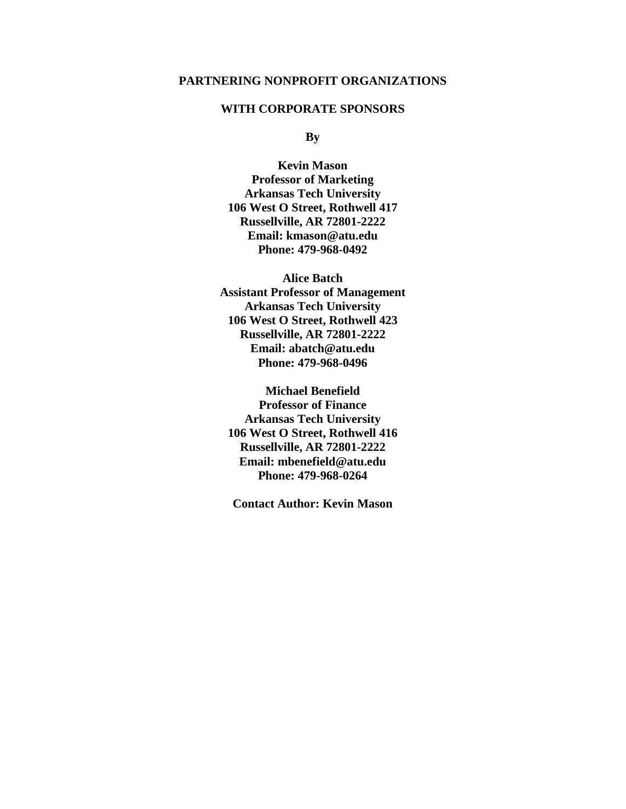#### **PARTNERING NONPROFIT ORGANIZATIONS**

#### **WITH CORPORATE SPONSORS**

**By**

**Kevin Mason Professor of Marketing Arkansas Tech University 106 West O Street, Rothwell 417 Russellville, AR 72801-2222 Email: kmason@atu.edu Phone: 479-968-0492**

**Alice Batch Assistant Professor of Management Arkansas Tech University 106 West O Street, Rothwell 423 Russellville, AR 72801-2222 Email: abatch@atu.edu Phone: 479-968-0496**

**Michael Benefield Professor of Finance Arkansas Tech University 106 West O Street, Rothwell 416 Russellville, AR 72801-2222 Email: mbenefield@atu.edu Phone: 479-968-0264**

**Contact Author: Kevin Mason**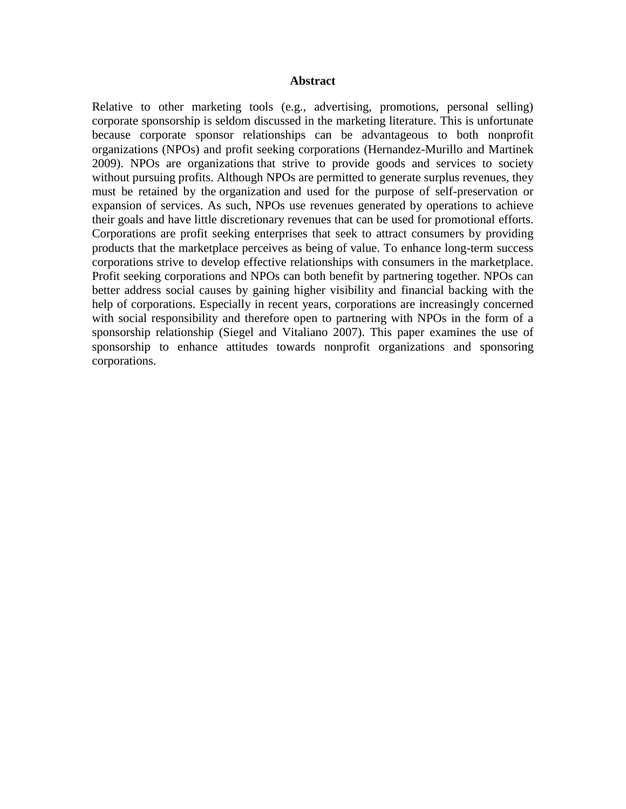#### **Abstract**

Relative to other marketing tools (e.g., advertising, promotions, personal selling) corporate sponsorship is seldom discussed in the marketing literature. This is unfortunate because corporate sponsor relationships can be advantageous to both nonprofit organizations (NPOs) and profit seeking corporations (Hernandez-Murillo and Martinek 2009). NPOs are organizations that strive to provide goods and services to society without pursuing profits. Although NPOs are permitted to generate surplus revenues, they must be retained by the organization and used for the purpose of self-preservation or expansion of services. As such, NPOs use revenues generated by operations to achieve their goals and have little discretionary revenues that can be used for promotional efforts. Corporations are profit seeking enterprises that seek to attract consumers by providing products that the marketplace perceives as being of value. To enhance long-term success corporations strive to develop effective relationships with consumers in the marketplace. Profit seeking corporations and NPOs can both benefit by partnering together. NPOs can better address social causes by gaining higher visibility and financial backing with the help of corporations. Especially in recent years, corporations are increasingly concerned with social responsibility and therefore open to partnering with NPOs in the form of a sponsorship relationship (Siegel and Vitaliano 2007). This paper examines the use of sponsorship to enhance attitudes towards nonprofit organizations and sponsoring corporations.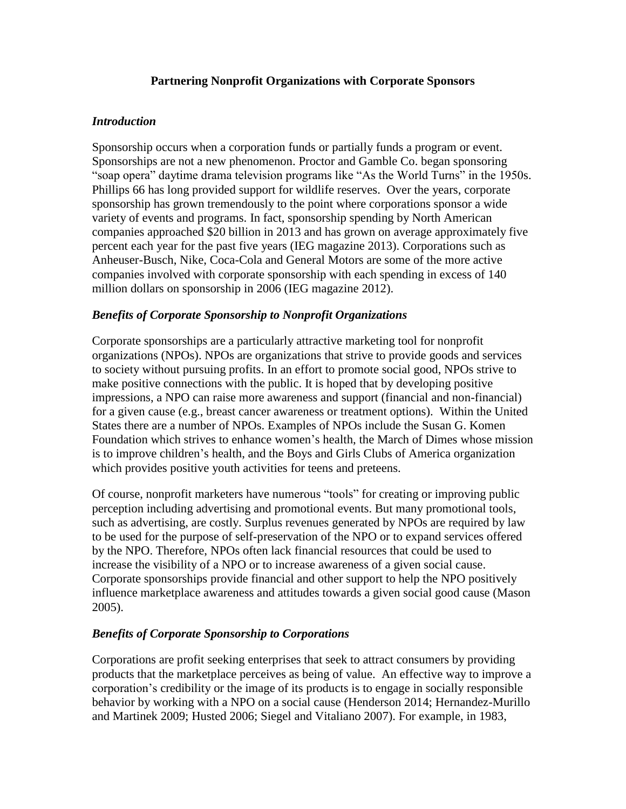## **Partnering Nonprofit Organizations with Corporate Sponsors**

### *Introduction*

Sponsorship occurs when a corporation funds or partially funds a program or event. Sponsorships are not a new phenomenon. Proctor and Gamble Co. began sponsoring "soap opera" daytime drama television programs like "As the World Turns" in the 1950s. Phillips 66 has long provided support for wildlife reserves. Over the years, corporate sponsorship has grown tremendously to the point where corporations sponsor a wide variety of events and programs. In fact, sponsorship spending by North American companies approached \$20 billion in 2013 and has grown on average approximately five percent each year for the past five years (IEG magazine 2013). Corporations such as Anheuser-Busch, Nike, Coca-Cola and General Motors are some of the more active companies involved with corporate sponsorship with each spending in excess of 140 million dollars on sponsorship in 2006 (IEG magazine 2012).

### *Benefits of Corporate Sponsorship to Nonprofit Organizations*

Corporate sponsorships are a particularly attractive marketing tool for nonprofit organizations (NPOs). NPOs are organizations that strive to provide goods and services to society without pursuing profits. In an effort to promote social good, NPOs strive to make positive connections with the public. It is hoped that by developing positive impressions, a NPO can raise more awareness and support (financial and non-financial) for a given cause (e.g., breast cancer awareness or treatment options). Within the United States there are a number of NPOs. Examples of NPOs include the Susan G. Komen Foundation which strives to enhance women's health, the March of Dimes whose mission is to improve children's health, and the Boys and Girls Clubs of America organization which provides positive youth activities for teens and preteens.

Of course, nonprofit marketers have numerous "tools" for creating or improving public perception including advertising and promotional events. But many promotional tools, such as advertising, are costly. Surplus revenues generated by NPOs are required by law to be used for the purpose of self-preservation of the NPO or to expand services offered by the NPO. Therefore, NPOs often lack financial resources that could be used to increase the visibility of a NPO or to increase awareness of a given social cause. Corporate sponsorships provide financial and other support to help the NPO positively influence marketplace awareness and attitudes towards a given social good cause (Mason 2005).

# *Benefits of Corporate Sponsorship to Corporations*

Corporations are profit seeking enterprises that seek to attract consumers by providing products that the marketplace perceives as being of value. An effective way to improve a corporation's credibility or the image of its products is to engage in socially responsible behavior by working with a NPO on a social cause (Henderson 2014; Hernandez-Murillo and Martinek 2009; Husted 2006; Siegel and Vitaliano 2007). For example, in 1983,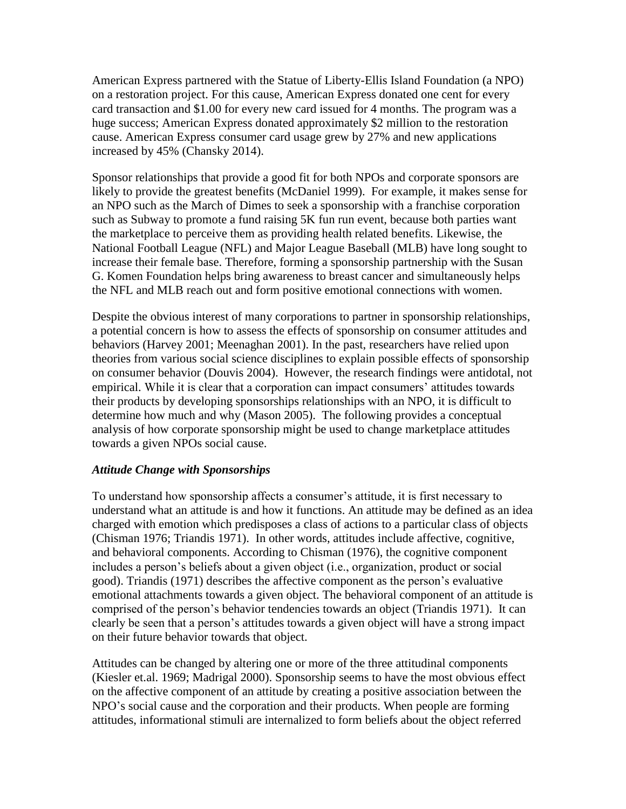American Express partnered with the Statue of Liberty-Ellis Island Foundation (a NPO) on a restoration project. For this cause, American Express donated one cent for every card transaction and \$1.00 for every new card issued for 4 months. The program was a huge success; American Express donated approximately \$2 million to the restoration cause. American Express consumer card usage grew by 27% and new applications increased by 45% (Chansky 2014).

Sponsor relationships that provide a good fit for both NPOs and corporate sponsors are likely to provide the greatest benefits (McDaniel 1999). For example, it makes sense for an NPO such as the March of Dimes to seek a sponsorship with a franchise corporation such as Subway to promote a fund raising 5K fun run event, because both parties want the marketplace to perceive them as providing health related benefits. Likewise, the National Football League (NFL) and Major League Baseball (MLB) have long sought to increase their female base. Therefore, forming a sponsorship partnership with the Susan G. Komen Foundation helps bring awareness to breast cancer and simultaneously helps the NFL and MLB reach out and form positive emotional connections with women.

Despite the obvious interest of many corporations to partner in sponsorship relationships, a potential concern is how to assess the effects of sponsorship on consumer attitudes and behaviors (Harvey 2001; Meenaghan 2001). In the past, researchers have relied upon theories from various social science disciplines to explain possible effects of sponsorship on consumer behavior (Douvis 2004). However, the research findings were antidotal, not empirical. While it is clear that a corporation can impact consumers' attitudes towards their products by developing sponsorships relationships with an NPO, it is difficult to determine how much and why (Mason 2005). The following provides a conceptual analysis of how corporate sponsorship might be used to change marketplace attitudes towards a given NPOs social cause.

# *Attitude Change with Sponsorships*

To understand how sponsorship affects a consumer's attitude, it is first necessary to understand what an attitude is and how it functions. An attitude may be defined as an idea charged with emotion which predisposes a class of actions to a particular class of objects (Chisman 1976; Triandis 1971). In other words, attitudes include affective, cognitive, and behavioral components. According to Chisman (1976), the cognitive component includes a person's beliefs about a given object (i.e., organization, product or social good). Triandis (1971) describes the affective component as the person's evaluative emotional attachments towards a given object. The behavioral component of an attitude is comprised of the person's behavior tendencies towards an object (Triandis 1971). It can clearly be seen that a person's attitudes towards a given object will have a strong impact on their future behavior towards that object.

Attitudes can be changed by altering one or more of the three attitudinal components (Kiesler et.al. 1969; Madrigal 2000). Sponsorship seems to have the most obvious effect on the affective component of an attitude by creating a positive association between the NPO's social cause and the corporation and their products. When people are forming attitudes, informational stimuli are internalized to form beliefs about the object referred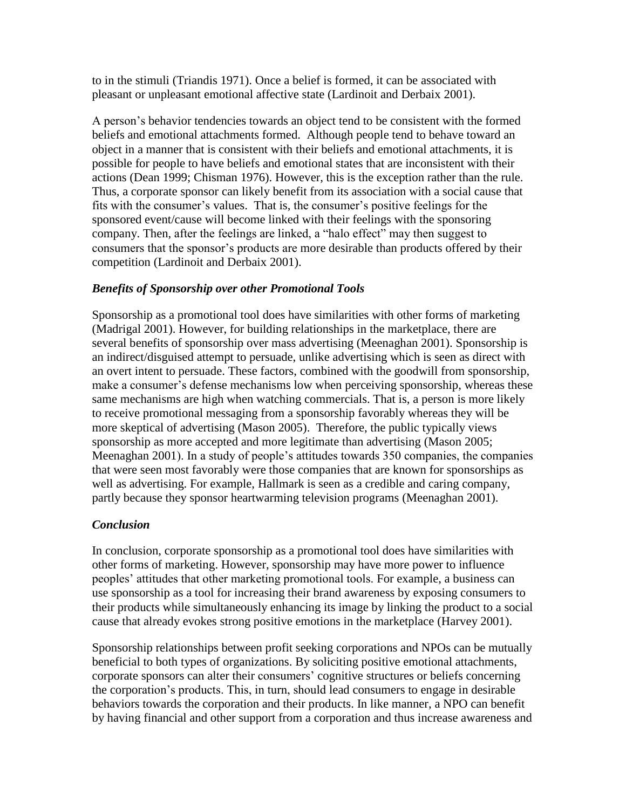to in the stimuli (Triandis 1971). Once a belief is formed, it can be associated with pleasant or unpleasant emotional affective state (Lardinoit and Derbaix 2001).

A person's behavior tendencies towards an object tend to be consistent with the formed beliefs and emotional attachments formed. Although people tend to behave toward an object in a manner that is consistent with their beliefs and emotional attachments, it is possible for people to have beliefs and emotional states that are inconsistent with their actions (Dean 1999; Chisman 1976). However, this is the exception rather than the rule. Thus, a corporate sponsor can likely benefit from its association with a social cause that fits with the consumer's values. That is, the consumer's positive feelings for the sponsored event/cause will become linked with their feelings with the sponsoring company. Then, after the feelings are linked, a "halo effect" may then suggest to consumers that the sponsor's products are more desirable than products offered by their competition (Lardinoit and Derbaix 2001).

### *Benefits of Sponsorship over other Promotional Tools*

Sponsorship as a promotional tool does have similarities with other forms of marketing (Madrigal 2001). However, for building relationships in the marketplace, there are several benefits of sponsorship over mass advertising (Meenaghan 2001). Sponsorship is an indirect/disguised attempt to persuade, unlike advertising which is seen as direct with an overt intent to persuade. These factors, combined with the goodwill from sponsorship, make a consumer's defense mechanisms low when perceiving sponsorship, whereas these same mechanisms are high when watching commercials. That is, a person is more likely to receive promotional messaging from a sponsorship favorably whereas they will be more skeptical of advertising (Mason 2005). Therefore, the public typically views sponsorship as more accepted and more legitimate than advertising (Mason 2005; Meenaghan 2001). In a study of people's attitudes towards 350 companies, the companies that were seen most favorably were those companies that are known for sponsorships as well as advertising. For example, Hallmark is seen as a credible and caring company, partly because they sponsor heartwarming television programs (Meenaghan 2001).

# *Conclusion*

In conclusion, corporate sponsorship as a promotional tool does have similarities with other forms of marketing. However, sponsorship may have more power to influence peoples' attitudes that other marketing promotional tools. For example, a business can use sponsorship as a tool for increasing their brand awareness by exposing consumers to their products while simultaneously enhancing its image by linking the product to a social cause that already evokes strong positive emotions in the marketplace (Harvey 2001).

Sponsorship relationships between profit seeking corporations and NPOs can be mutually beneficial to both types of organizations. By soliciting positive emotional attachments, corporate sponsors can alter their consumers' cognitive structures or beliefs concerning the corporation's products. This, in turn, should lead consumers to engage in desirable behaviors towards the corporation and their products. In like manner, a NPO can benefit by having financial and other support from a corporation and thus increase awareness and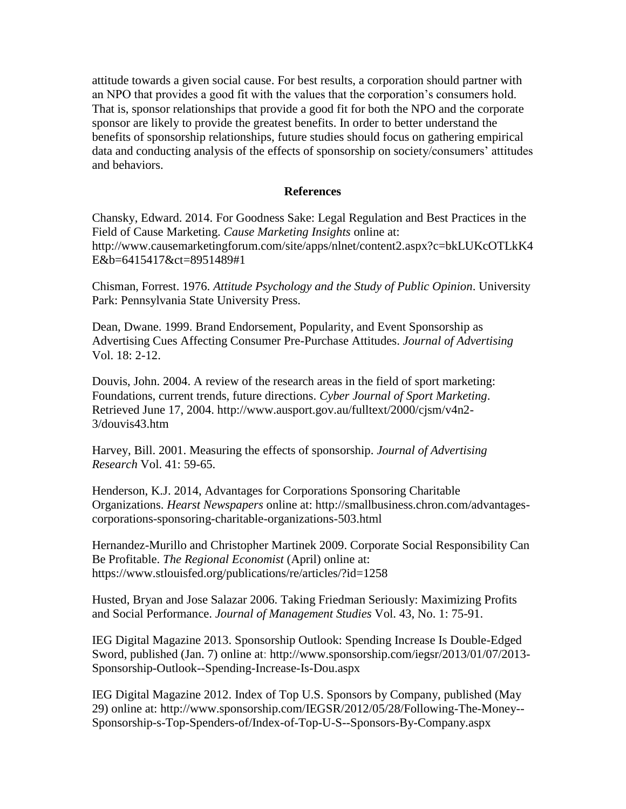attitude towards a given social cause. For best results, a corporation should partner with an NPO that provides a good fit with the values that the corporation's consumers hold. That is, sponsor relationships that provide a good fit for both the NPO and the corporate sponsor are likely to provide the greatest benefits. In order to better understand the benefits of sponsorship relationships, future studies should focus on gathering empirical data and conducting analysis of the effects of sponsorship on society/consumers' attitudes and behaviors.

#### **References**

Chansky, Edward. 2014. For Goodness Sake: Legal Regulation and Best Practices in the Field of Cause Marketing. *Cause Marketing Insights* online at: http://www.causemarketingforum.com/site/apps/nlnet/content2.aspx?c=bkLUKcOTLkK4 E&b=6415417&ct=8951489#1

Chisman, Forrest. 1976. *Attitude Psychology and the Study of Public Opinion*. University Park: Pennsylvania State University Press.

Dean, Dwane. 1999. Brand Endorsement, Popularity, and Event Sponsorship as Advertising Cues Affecting Consumer Pre-Purchase Attitudes. *Journal of Advertising* Vol. 18: 2-12.

Douvis, John. 2004. A review of the research areas in the field of sport marketing: Foundations, current trends, future directions. *Cyber Journal of Sport Marketing*. Retrieved June 17, 2004. http://www.ausport.gov.au/fulltext/2000/cjsm/v4n2- 3/douvis43.htm

Harvey, Bill. 2001. Measuring the effects of sponsorship. *Journal of Advertising Research* Vol. 41: 59-65.

Henderson, K.J. 2014, Advantages for Corporations Sponsoring Charitable Organizations. *Hearst Newspapers* online at: http://smallbusiness.chron.com/advantagescorporations-sponsoring-charitable-organizations-503.html

Hernandez-Murillo and Christopher Martinek 2009. Corporate Social Responsibility Can Be Profitable. *The Regional Economist* (April) online at: https://www.stlouisfed.org/publications/re/articles/?id=1258

Husted, Bryan and Jose Salazar 2006. Taking Friedman Seriously: Maximizing Profits and Social Performance. *Journal of Management Studies* Vol. 43, No. 1: 75-91.

IEG Digital Magazine 2013. Sponsorship Outlook: Spending Increase Is Double-Edged Sword, published (Jan. 7) online at: http://www.sponsorship.com/iegsr/2013/01/07/2013- Sponsorship-Outlook--Spending-Increase-Is-Dou.aspx

IEG Digital Magazine 2012. Index of Top U.S. Sponsors by Company, published (May 29) online at: http://www.sponsorship.com/IEGSR/2012/05/28/Following-The-Money-- Sponsorship-s-Top-Spenders-of/Index-of-Top-U-S--Sponsors-By-Company.aspx